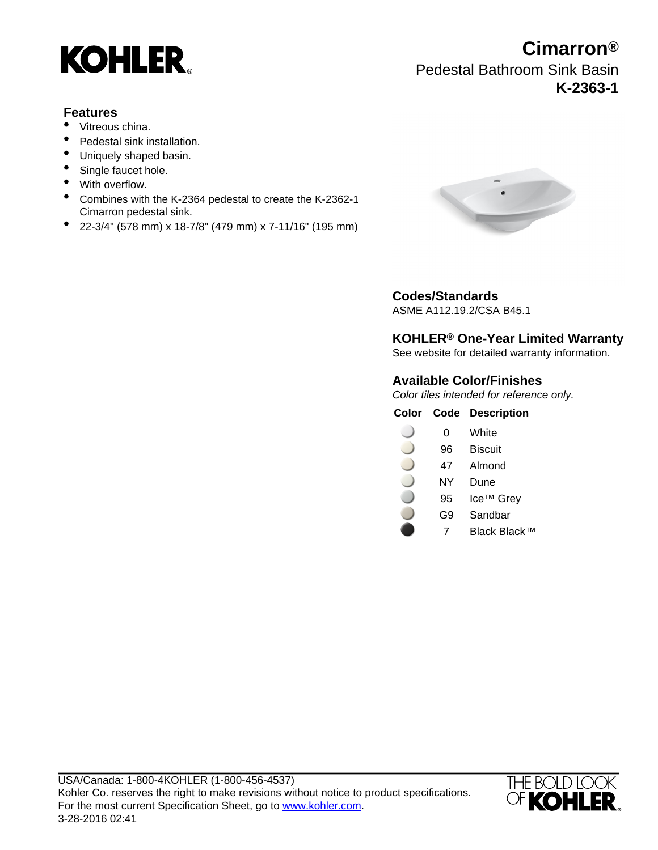

## **Features**

- Vitreous china.
- Pedestal sink installation.
- Uniquely shaped basin.
- Single faucet hole.
- With overflow.
- Combines with the K-2364 pedestal to create the K-2362-1 Cimarron pedestal sink.
- 22-3/4" (578 mm) x 18-7/8" (479 mm) x 7-11/16" (195 mm)



## **Codes/Standards**

ASME A112.19.2/CSA B45.1

## **KOHLER® One-Year Limited Warranty**

See website for detailed warranty information.

## **Available Color/Finishes**

Color tiles intended for reference only.

#### **Color Code Description**

- $\overline{\phantom{0}}$ 0 White
- 96 Biscuit
- 47 Almond
- NY Dune
- 95 Ice™ Grey
- G9 Sandbar
- 7 Black Black™



# **Cimarron®** Pedestal Bathroom Sink Basin

**K-2363-1**